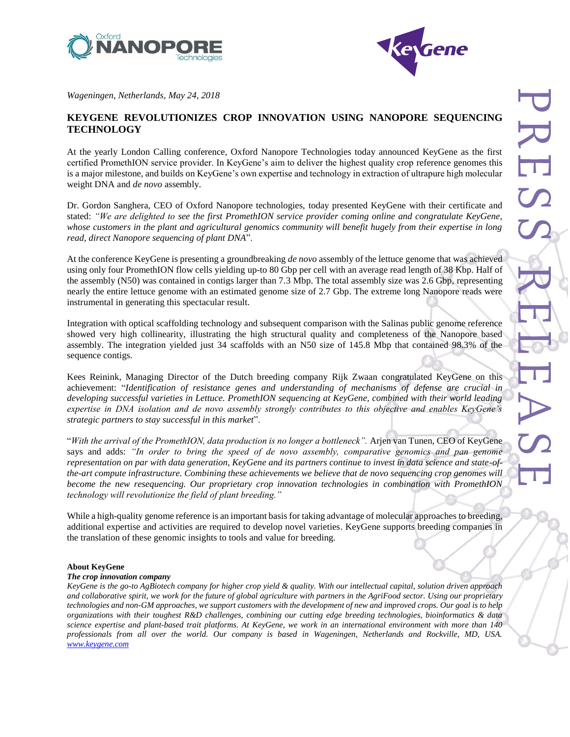



*Wageningen, Netherlands, May 24, 2018*

# **KEYGENE REVOLUTIONIZES CROP INNOVATION USING NANOPORE SEQUENCING TECHNOLOGY**

At the yearly London Calling conference, Oxford Nanopore Technologies today announced KeyGene as the first certified PromethION service provider. In KeyGene's aim to deliver the highest quality crop reference genomes this is a major milestone, and builds on KeyGene's own expertise and technology in extraction of ultrapure high molecular weight DNA and *de novo* assembly.

Dr. Gordon Sanghera, CEO of Oxford Nanopore technologies, today presented KeyGene with their certificate and stated: *"We are delighted to see the first PromethION service provider coming online and congratulate KeyGene, whose customers in the plant and agricultural genomics community will benefit hugely from their expertise in long read, direct Nanopore sequencing of plant DNA*".

At the conference KeyGene is presenting a groundbreaking *de novo* assembly of the lettuce genome that was achieved using only four PromethION flow cells yielding up-to 80 Gbp per cell with an average read length of 38 Kbp. Half of the assembly (N50) was contained in contigs larger than 7.3 Mbp. The total assembly size was 2.6 Gbp, representing nearly the entire lettuce genome with an estimated genome size of 2.7 Gbp. The extreme long Nanopore reads were instrumental in generating this spectacular result.

Integration with optical scaffolding technology and subsequent comparison with the Salinas public genome reference showed very high collinearity, illustrating the high structural quality and completeness of the Nanopore based assembly. The integration yielded just 34 scaffolds with an N50 size of 145.8 Mbp that contained 98.3% of the sequence contigs.

Kees Reinink, Managing Director of the Dutch breeding company Rijk Zwaan congratulated KeyGene on this achievement: "*Identification of resistance genes and understanding of mechanisms of defense are crucial in developing successful varieties in Lettuce. PromethION sequencing at KeyGene, combined with their world leading expertise in DNA isolation and de novo assembly strongly contributes to this objective and enables KeyGene's strategic partners to stay successful in this market*".

"*With the arrival of the PromethION, data production is no longer a bottleneck".* Arjen van Tunen, CEO of KeyGene says and adds: *"In order to bring the speed of de novo assembly, comparative genomics and pan genome representation on par with data generation, KeyGene and its partners continue to invest in data science and state-ofthe-art compute infrastructure. Combining these achievements we believe that de novo sequencing crop genomes will become the new resequencing. Our proprietary crop innovation technologies in combination with PromethION technology will revolutionize the field of plant breeding."*

While a high-quality genome reference is an important basis for taking advantage of molecular approaches to breeding, additional expertise and activities are required to develop novel varieties. KeyGene supports breeding companies in the translation of these genomic insights to tools and value for breeding.

### **About KeyGene**

#### *The crop innovation company*

*KeyGene is the go-to AgBiotech company for higher crop yield & quality. With our intellectual capital, solution driven approach and collaborative spirit, we work for the future of global agriculture with partners in the AgriFood sector. Using our proprietary technologies and non-GM approaches, we support customers with the development of new and improved crops. Our goal is to help organizations with their toughest R&D challenges, combining our cutting edge breeding technologies, bioinformatics & data science expertise and plant-based trait platforms. At KeyGene, we work in an international environment with more than 140 professionals from all over the world. Our company is based in Wageningen, Netherlands and Rockville, MD, USA. [www.keygene.com](http://www.keygene.com/)*